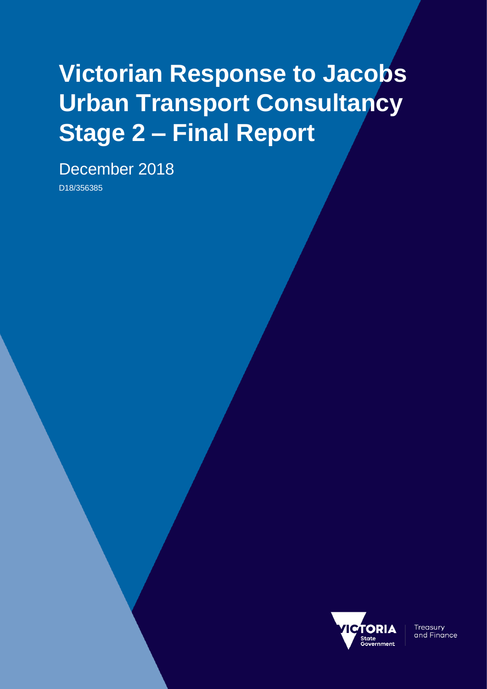# **Victorian Response to Jacobs Urban Transport Consultancy Stage 2 – Final Report**

December 2018

D18/356385



**Treasury** and Finance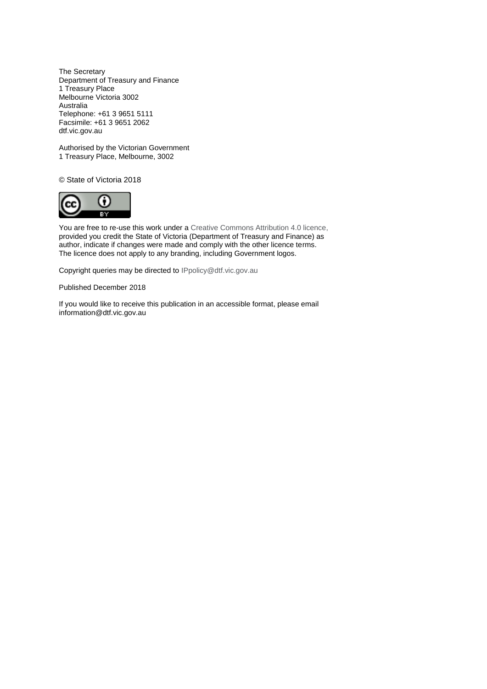The Secretary Department of Treasury and Finance 1 Treasury Place Melbourne Victoria 3002 Australia Telephone: +61 3 9651 5111 Facsimile: +61 3 9651 2062 dtf.vic.gov.au

Authorised by the Victorian Government 1 Treasury Place, Melbourne, 3002

© State of Victoria 2018



You are free to re-use this work under a [Creative Commons Attribution 4.0 licence,](http://creativecommons.org/licenses/by/4.0/) provided you credit the State of Victoria (Department of Treasury and Finance) as author, indicate if changes were made and comply with the other licence terms. The licence does not apply to any branding, including Government logos.

Copyright queries may be directed t[o IPpolicy@dtf.vic.gov.au](mailto:IPpolicy@dtf.vic.gov.au)

Published December 2018

If you would like to receive this publication in an accessible format, please email [information@dtf.vic.gov.au](mailto:information@dtf.vic.gov.au)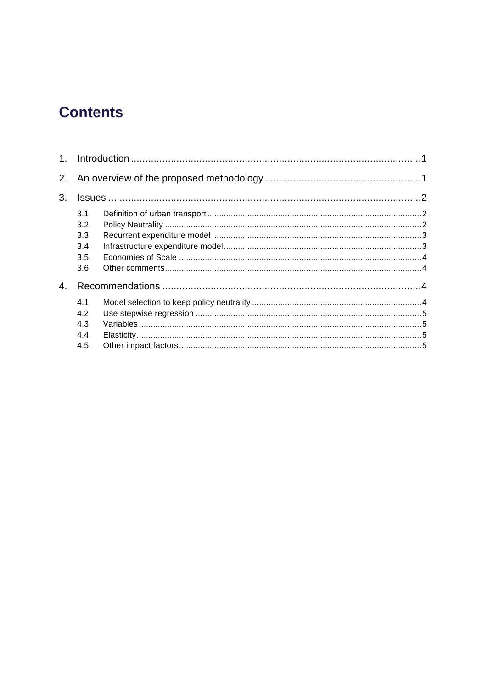## **Contents**

| 1 <sub>1</sub> |     |  |  |
|----------------|-----|--|--|
|                |     |  |  |
| 3.             |     |  |  |
|                | 3.1 |  |  |
|                | 3.2 |  |  |
|                | 3.3 |  |  |
|                | 3.4 |  |  |
|                | 3.5 |  |  |
|                | 3.6 |  |  |
| 4.             |     |  |  |
|                | 4.1 |  |  |
|                | 4.2 |  |  |
|                | 4.3 |  |  |
|                | 4.4 |  |  |
|                | 4.5 |  |  |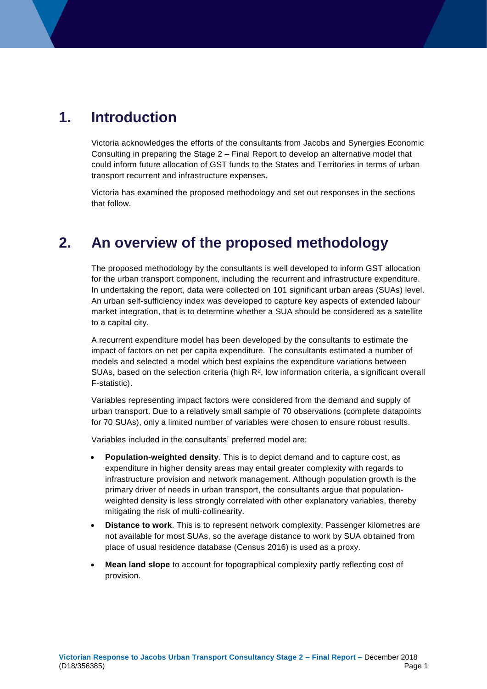## <span id="page-4-0"></span>**1. Introduction**

Victoria acknowledges the efforts of the consultants from Jacobs and Synergies Economic Consulting in preparing the Stage 2 – Final Report to develop an alternative model that could inform future allocation of GST funds to the States and Territories in terms of urban transport recurrent and infrastructure expenses.

Victoria has examined the proposed methodology and set out responses in the sections that follow.

## <span id="page-4-1"></span>**2. An overview of the proposed methodology**

The proposed methodology by the consultants is well developed to inform GST allocation for the urban transport component, including the recurrent and infrastructure expenditure. In undertaking the report, data were collected on 101 significant urban areas (SUAs) level. An urban self-sufficiency index was developed to capture key aspects of extended labour market integration, that is to determine whether a SUA should be considered as a satellite to a capital city.

A recurrent expenditure model has been developed by the consultants to estimate the impact of factors on net per capita expenditure. The consultants estimated a number of models and selected a model which best explains the expenditure variations between SUAs, based on the selection criteria (high  $R<sup>2</sup>$ , low information criteria, a significant overall F-statistic).

Variables representing impact factors were considered from the demand and supply of urban transport. Due to a relatively small sample of 70 observations (complete datapoints for 70 SUAs), only a limited number of variables were chosen to ensure robust results.

Variables included in the consultants' preferred model are:

- **Population-weighted density**. This is to depict demand and to capture cost, as expenditure in higher density areas may entail greater complexity with regards to infrastructure provision and network management. Although population growth is the primary driver of needs in urban transport, the consultants argue that populationweighted density is less strongly correlated with other explanatory variables, thereby mitigating the risk of multi-collinearity.
- **Distance to work**. This is to represent network complexity. Passenger kilometres are not available for most SUAs, so the average distance to work by SUA obtained from place of usual residence database (Census 2016) is used as a proxy.
- **Mean land slope** to account for topographical complexity partly reflecting cost of provision.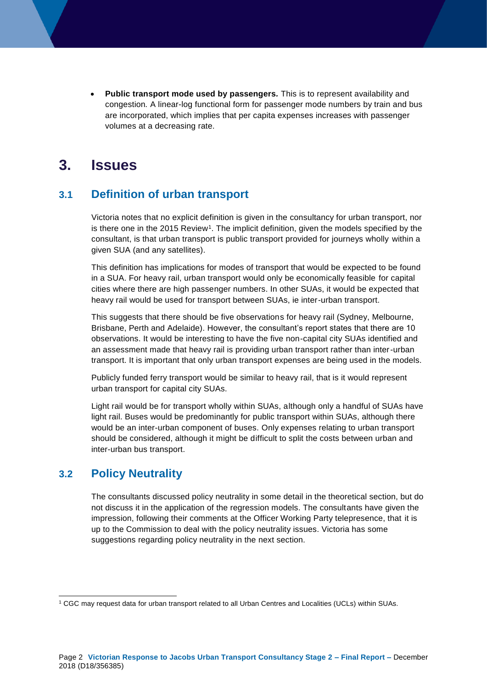**Public transport mode used by passengers***.* This is to represent availability and congestion*.* A linear-log functional form for passenger mode numbers by train and bus are incorporated, which implies that per capita expenses increases with passenger volumes at a decreasing rate.

### <span id="page-5-0"></span>**3. Issues**

#### <span id="page-5-1"></span>**3.1 Definition of urban transport**

Victoria notes that no explicit definition is given in the consultancy for urban transport, nor is there one in the  $2015$  Review<sup>1</sup>. The implicit definition, given the models specified by the consultant, is that urban transport is public transport provided for journeys wholly within a given SUA (and any satellites).

This definition has implications for modes of transport that would be expected to be found in a SUA. For heavy rail, urban transport would only be economically feasible for capital cities where there are high passenger numbers. In other SUAs, it would be expected that heavy rail would be used for transport between SUAs, ie inter-urban transport.

This suggests that there should be five observations for heavy rail (Sydney, Melbourne, Brisbane, Perth and Adelaide). However, the consultant's report states that there are 10 observations. It would be interesting to have the five non-capital city SUAs identified and an assessment made that heavy rail is providing urban transport rather than inter-urban transport. It is important that only urban transport expenses are being used in the models.

Publicly funded ferry transport would be similar to heavy rail, that is it would represent urban transport for capital city SUAs.

Light rail would be for transport wholly within SUAs, although only a handful of SUAs have light rail. Buses would be predominantly for public transport within SUAs, although there would be an inter-urban component of buses. Only expenses relating to urban transport should be considered, although it might be difficult to split the costs between urban and inter-urban bus transport.

#### <span id="page-5-2"></span>**3.2 Policy Neutrality**

1

The consultants discussed policy neutrality in some detail in the theoretical section, but do not discuss it in the application of the regression models. The consultants have given the impression, following their comments at the Officer Working Party telepresence, that it is up to the Commission to deal with the policy neutrality issues. Victoria has some suggestions regarding policy neutrality in the next section.

<sup>1</sup> CGC may request data for urban transport related to all Urban Centres and Localities (UCLs) within SUAs.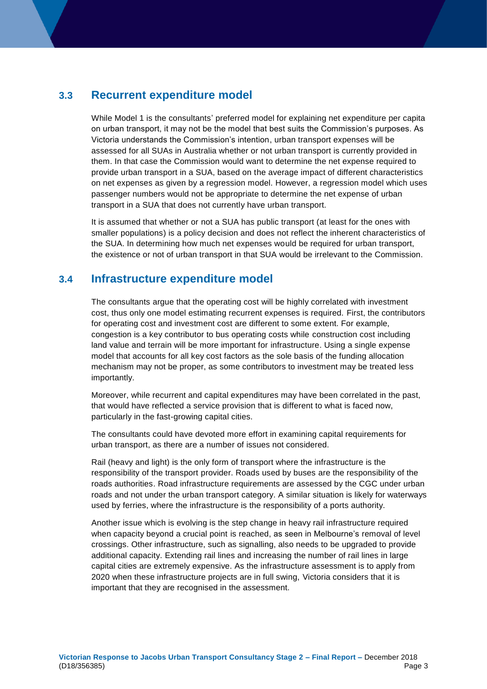#### <span id="page-6-0"></span>**3.3 Recurrent expenditure model**

While Model 1 is the consultants' preferred model for explaining net expenditure per capita on urban transport, it may not be the model that best suits the Commission's purposes. As Victoria understands the Commission's intention, urban transport expenses will be assessed for all SUAs in Australia whether or not urban transport is currently provided in them. In that case the Commission would want to determine the net expense required to provide urban transport in a SUA, based on the average impact of different characteristics on net expenses as given by a regression model. However, a regression model which uses passenger numbers would not be appropriate to determine the net expense of urban transport in a SUA that does not currently have urban transport.

It is assumed that whether or not a SUA has public transport (at least for the ones with smaller populations) is a policy decision and does not reflect the inherent characteristics of the SUA. In determining how much net expenses would be required for urban transport, the existence or not of urban transport in that SUA would be irrelevant to the Commission.

#### <span id="page-6-1"></span>**3.4 Infrastructure expenditure model**

The consultants argue that the operating cost will be highly correlated with investment cost, thus only one model estimating recurrent expenses is required. First, the contributors for operating cost and investment cost are different to some extent. For example, congestion is a key contributor to bus operating costs while construction cost including land value and terrain will be more important for infrastructure. Using a single expense model that accounts for all key cost factors as the sole basis of the funding allocation mechanism may not be proper, as some contributors to investment may be treated less importantly.

Moreover, while recurrent and capital expenditures may have been correlated in the past, that would have reflected a service provision that is different to what is faced now, particularly in the fast-growing capital cities.

The consultants could have devoted more effort in examining capital requirements for urban transport, as there are a number of issues not considered.

Rail (heavy and light) is the only form of transport where the infrastructure is the responsibility of the transport provider. Roads used by buses are the responsibility of the roads authorities. Road infrastructure requirements are assessed by the CGC under urban roads and not under the urban transport category. A similar situation is likely for waterways used by ferries, where the infrastructure is the responsibility of a ports authority.

Another issue which is evolving is the step change in heavy rail infrastructure required when capacity beyond a crucial point is reached, as seen in Melbourne's removal of level crossings. Other infrastructure, such as signalling, also needs to be upgraded to provide additional capacity. Extending rail lines and increasing the number of rail lines in large capital cities are extremely expensive. As the infrastructure assessment is to apply from 2020 when these infrastructure projects are in full swing, Victoria considers that it is important that they are recognised in the assessment.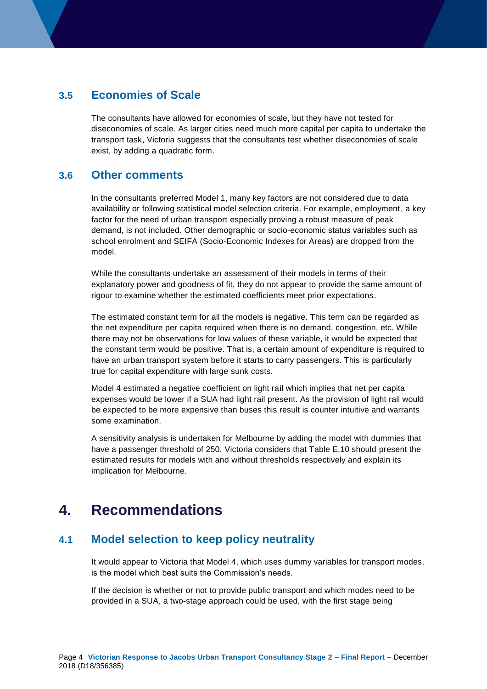#### <span id="page-7-0"></span>**3.5 Economies of Scale**

The consultants have allowed for economies of scale, but they have not tested for diseconomies of scale. As larger cities need much more capital per capita to undertake the transport task, Victoria suggests that the consultants test whether diseconomies of scale exist, by adding a quadratic form.

#### <span id="page-7-1"></span>**3.6 Other comments**

In the consultants preferred Model 1, many key factors are not considered due to data availability or following statistical model selection criteria. For example, employment, a key factor for the need of urban transport especially proving a robust measure of peak demand, is not included. Other demographic or socio-economic status variables such as school enrolment and SEIFA (Socio-Economic Indexes for Areas) are dropped from the model.

While the consultants undertake an assessment of their models in terms of their explanatory power and goodness of fit, they do not appear to provide the same amount of rigour to examine whether the estimated coefficients meet prior expectations.

The estimated constant term for all the models is negative. This term can be regarded as the net expenditure per capita required when there is no demand, congestion, etc. While there may not be observations for low values of these variable, it would be expected that the constant term would be positive. That is, a certain amount of expenditure is required to have an urban transport system before it starts to carry passengers. This is particularly true for capital expenditure with large sunk costs.

Model 4 estimated a negative coefficient on light rail which implies that net per capita expenses would be lower if a SUA had light rail present. As the provision of light rail would be expected to be more expensive than buses this result is counter intuitive and warrants some examination.

A sensitivity analysis is undertaken for Melbourne by adding the model with dummies that have a passenger threshold of 250. Victoria considers that Table E.10 should present the estimated results for models with and without thresholds respectively and explain its implication for Melbourne.

## <span id="page-7-2"></span>**4. Recommendations**

#### <span id="page-7-3"></span>**4.1 Model selection to keep policy neutrality**

It would appear to Victoria that Model 4, which uses dummy variables for transport modes, is the model which best suits the Commission's needs.

If the decision is whether or not to provide public transport and which modes need to be provided in a SUA, a two-stage approach could be used, with the first stage being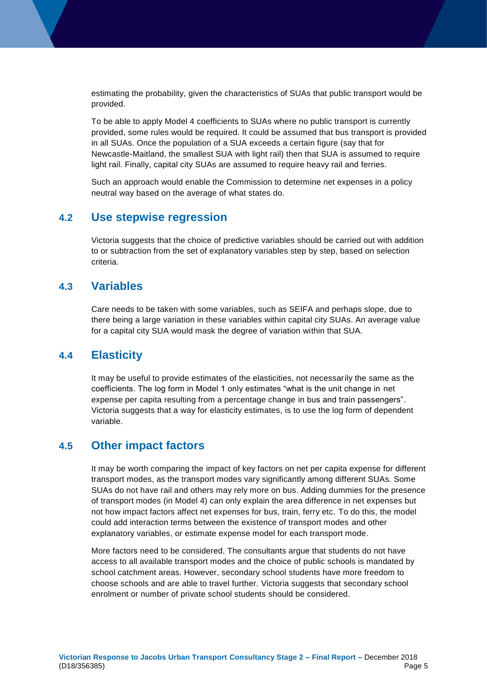estimating the probability, given the characteristics of SUAs that public transport would be provided.

To be able to apply Model 4 coefficients to SUAs where no public transport is currently provided, some rules would be required. It could be assumed that bus transport is provided in all SUAs. Once the population of a SUA exceeds a certain figure (say that for Newcastle-Maitland, the smallest SUA with light rail) then that SUA is assumed to require light rail. Finally, capital city SUAs are assumed to require heavy rail and ferries.

Such an approach would enable the Commission to determine net expenses in a policy neutral way based on the average of what states do.

#### <span id="page-8-0"></span>**4.2 Use stepwise regression**

Victoria suggests that the choice of predictive variables should be carried out with addition to or subtraction from the set of explanatory variables step by step, based on selection criteria.

#### <span id="page-8-1"></span>**4.3 Variables**

Care needs to be taken with some variables, such as SEIFA and perhaps slope, due to there being a large variation in these variables within capital city SUAs. An average value for a capital city SUA would mask the degree of variation within that SUA.

#### <span id="page-8-2"></span>**4.4 Elasticity**

It may be useful to provide estimates of the elasticities, not necessarily the same as the coefficients. The log form in Model 1 only estimates "what is the unit change in net expense per capita resulting from a percentage change in bus and train passengers". Victoria suggests that a way for elasticity estimates, is to use the log form of dependent variable.

#### <span id="page-8-3"></span>**4.5 Other impact factors**

It may be worth comparing the impact of key factors on net per capita expense for different transport modes, as the transport modes vary significantly among different SUAs. Some SUAs do not have rail and others may rely more on bus. Adding dummies for the presence of transport modes (in Model 4) can only explain the area difference in net expenses but not how impact factors affect net expenses for bus, train, ferry etc. To do this, the model could add interaction terms between the existence of transport modes and other explanatory variables, or estimate expense model for each transport mode.

More factors need to be considered. The consultants argue that students do not have access to all available transport modes and the choice of public schools is mandated by school catchment areas. However, secondary school students have more freedom to choose schools and are able to travel further. Victoria suggests that secondary school enrolment or number of private school students should be considered.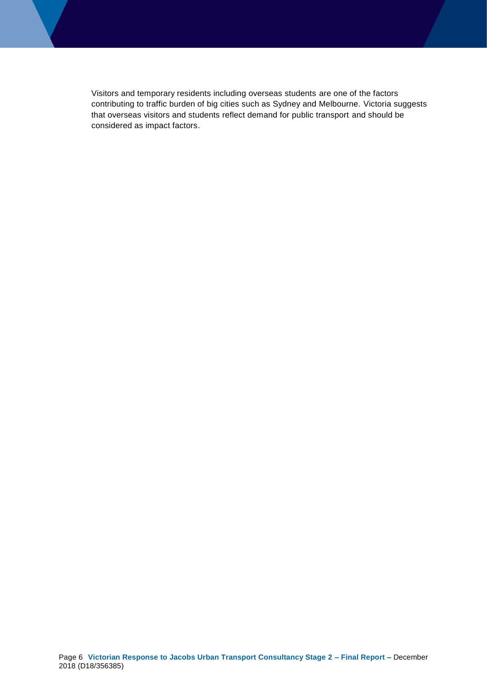Visitors and temporary residents including overseas students are one of the factors contributing to traffic burden of big cities such as Sydney and Melbourne. Victoria suggests that overseas visitors and students reflect demand for public transport and should be considered as impact factors.